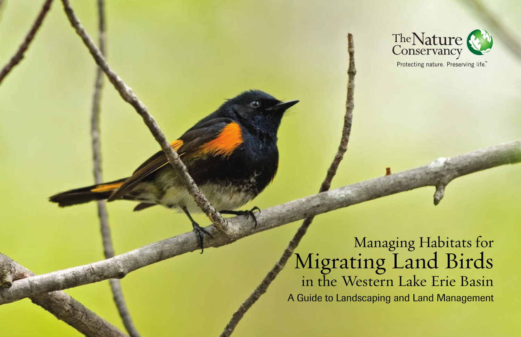

Managing Habitats for Migrating Land Birds in the Western Lake Erie Basin A Guide to Landscaping and Land Management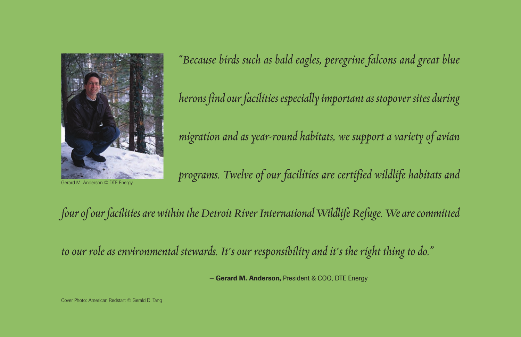

Gerard M. Anderson © DTE Energy

*"Because birds such as bald eagles, peregrine falcons and great blue herons find our facilities especially important as stopover sites during migration and as year-round habitats, we support a variety of avian programs. Twelve of our facilities are certified wildlife habitats and*

# *four of our facilities are within the Detroit River International Wildlife Refuge. We are committed*

*to our role as environmental stewards. It's our responsibility and it's the right thing to do."*

— **Gerard M. Anderson,** President & COO, DTE Energy

Cover Photo: American Redstart © Gerald D. Tang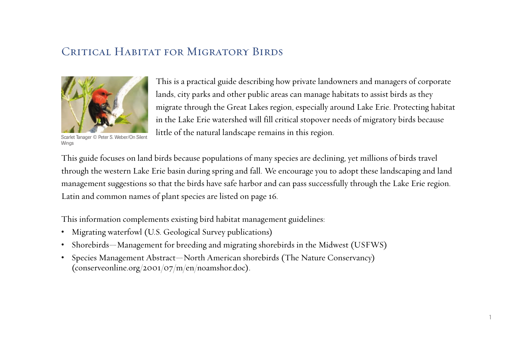## CRITICAL HABITAT FOR MIGRATORY BIRDS



Scarlet Tanager © Peter S. Weber/On Silent Wings

This is a practical guide describing how private landowners and managers of corporate lands, city parks and other public areas can manage habitats to assist birds as they migrate through the Great Lakes region, especially around Lake Erie. Protecting habitat in the Lake Erie watershed will fill critical stopover needs of migratory birds because little of the natural landscape remains in this region.

This guide focuses on land birds because populations of many species are declining, yet millions of birds travel through the western Lake Erie basin during spring and fall. We encourage you to adopt these landscaping and land management suggestions so that the birds have safe harbor and can pass successfully through the Lake Erie region. Latin and common names of plant species are listed on page 16.

This information complements existing bird habitat management guidelines:

- Migrating waterfowl (U.S. Geological Survey publications)
- Shorebirds—Management for breeding and migrating shorebirds in the Midwest (USFWS)
- Species Management Abstract—North American shorebirds (The Nature Conservancy) [\(conserveonline.org/2001/07/m/en/noamshor.doc\)](http://conserveonline.org/2001/07/m/en/noamshor.doc).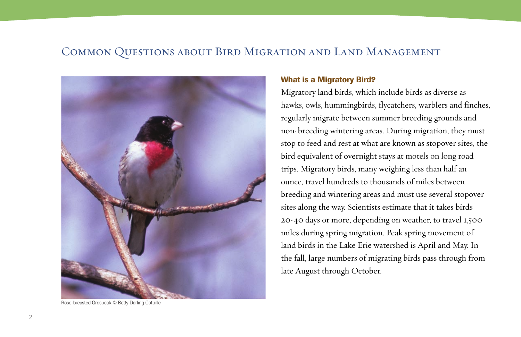## Common Questions about Bird Migration and Land Management



Rose-breasted Grosbeak © Betty Darling Cottrille

#### **What is a Migratory Bird?**

Migratory land birds, which include birds as diverse as hawks, owls, hummingbirds, flycatchers, warblers and finches, regularly migrate between summer breeding grounds and non-breeding wintering areas. During migration, they must stop to feed and rest at what are known as stopover sites, the bird equivalent of overnight stays at motels on long road trips. Migratory birds, many weighing less than half an ounce, travel hundreds to thousands of miles between breeding and wintering areas and must use several stopover sites along the way. Scientists estimate that it takes birds 20-40 days or more, depending on weather, to travel 1,500 miles during spring migration. Peak spring movement of land birds in the Lake Erie watershed is April and May. In the fall, large numbers of migrating birds pass through from late August through October.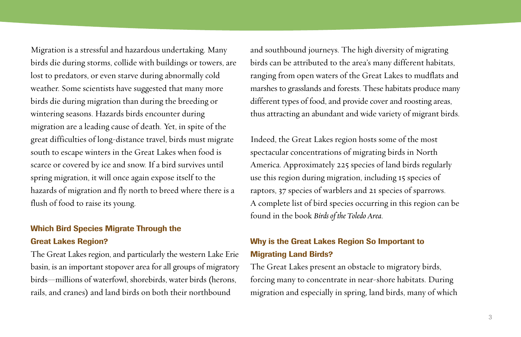Migration is a stressful and hazardous undertaking. Many birds die during storms, collide with buildings or towers, are lost to predators, or even starve during abnormally cold weather. Some scientists have suggested that many more birds die during migration than during the breeding or wintering seasons. Hazards birds encounter during migration are a leading cause of death. Yet, in spite of the great difficulties of long-distance travel, birds must migrate south to escape winters in the Great Lakes when food is scarce or covered by ice and snow. If a bird survives until spring migration, it will once again expose itself to the hazards of migration and fly north to breed where there is a flush of food to raise its young.

## **Which Bird Species Migrate Through the Great Lakes Region?**

The Great Lakes region, and particularly the western Lake Erie basin, is an important stopover area for all groups of migratory birds—millions of waterfowl, shorebirds, water birds (herons, rails, and cranes) and land birds on both their northbound

and southbound journeys. The high diversity of migrating birds can be attributed to the area's many different habitats, ranging from open waters of the Great Lakes to mudflats and marshes to grasslands and forests. These habitats produce many different types of food, and provide cover and roosting areas, thus attracting an abundant and wide variety of migrant birds.

Indeed, the Great Lakes region hosts some of the most spectacular concentrations of migrating birds in North America. Approximately 225 species of land birds regularly use this region during migration, including 15 species of raptors, 37 species of warblers and 21 species of sparrows. A complete list of bird species occurring in this region can be found in the book *Birds of the Toledo Area*.

## **Why is the Great Lakes Region So Important to Migrating Land Birds?**

The Great Lakes present an obstacle to migratory birds, forcing many to concentrate in near-shore habitats. During migration and especially in spring, land birds, many of which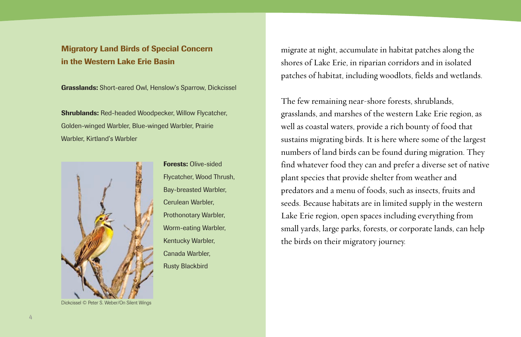## **Migratory Land Birds of Special Concern in the Western Lake Erie Basin**

**Grasslands:** Short-eared Owl, Henslow's Sparrow, Dickcissel

**Shrublands:** Red-headed Woodpecker, Willow Flycatcher, Golden-winged Warbler, Blue-winged Warbler, Prairie Warbler, Kirtland's Warbler



**Forests:** Olive-sided Flycatcher, Wood Thrush, Bay-breasted Warbler, Cerulean Warbler, Prothonotary Warbler, Worm-eating Warbler, Kentucky Warbler, Canada Warbler, Rusty Blackbird

migrate at night, accumulate in habitat patches along the shores of Lake Erie, in riparian corridors and in isolated patches of habitat, including woodlots, fields and wetlands.

The few remaining near-shore forests, shrublands, grasslands, and marshes of the western Lake Erie region, as well as coastal waters, provide a rich bounty of food that sustains migrating birds. It is here where some of the largest numbers of land birds can be found during migration. They find whatever food they can and prefer a diverse set of native plant species that provide shelter from weather and predators and a menu of foods, such as insects, fruits and seeds. Because habitats are in limited supply in the western Lake Erie region, open spaces including everything from small yards, large parks, forests, or corporate lands, can help the birds on their migratory journey.

Dickcissel © Peter S. Weber/On Silent Wings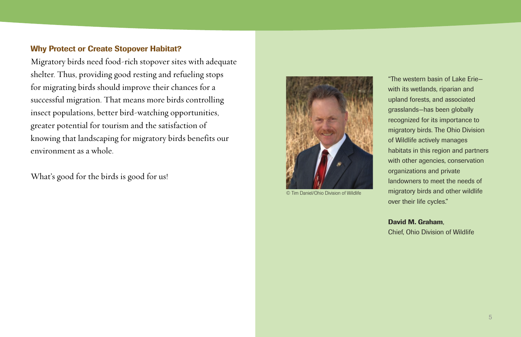### **Why Protect or Create Stopover Habitat?**

Migratory birds need food-rich stopover sites with adequate shelter. Thus, providing good resting and refueling stops for migrating birds should improve their chances for a successful migration. That means more birds controlling insect populations, better bird-watching opportunities, greater potential for tourism and the satisfaction of knowing that landscaping for migratory birds benefits our environment as a whole.

What's good for the birds is good for us!



© Tim Daniel/Ohio Division of Wildlife

"The western basin of Lake Erie with its wetlands, riparian and upland forests, and associated grasslands—has been globally recognized for its importance to migratory birds. The Ohio Division of Wildlife actively manages habitats in this region and partners with other agencies, conservation organizations and private landowners to meet the needs of migratory birds and other wildlife over their life cycles."

**David M. Graham**, Chief, Ohio Division of Wildlife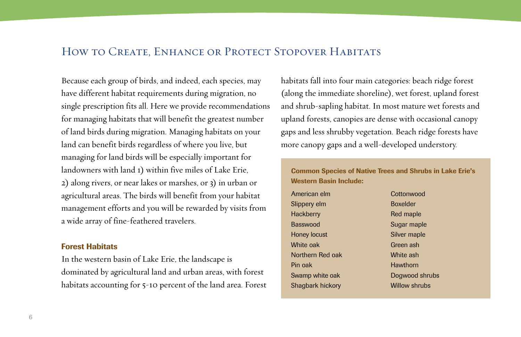## HOW TO CREATE, ENHANCE OR PROTECT STOPOVER HABITATS

Because each group of birds, and indeed, each species, may have different habitat requirements during migration, no single prescription fits all. Here we provide recommendations for managing habitats that will benefit the greatest number of land birds during migration. Managing habitats on your land can benefit birds regardless of where you live, but managing for land birds will be especially important for landowners with land 1) within five miles of Lake Erie, 2) along rivers, or near lakes or marshes, or 3) in urban or agricultural areas. The birds will benefit from your habitat management efforts and you will be rewarded by visits from a wide array of fine-feathered travelers.

#### **Forest Habitats**

In the western basin of Lake Erie, the landscape is dominated by agricultural land and urban areas, with forest habitats accounting for 5-10 percent of the land area. Forest

habitats fall into four main categories: beach ridge forest (along the immediate shoreline), wet forest, upland forest and shrub-sapling habitat. In most mature wet forests and upland forests, canopies are dense with occasional canopy gaps and less shrubby vegetation. Beach ridge forests have more canopy gaps and a well-developed understory.

**Common Species of Native Trees and Shrubs in Lake Erie's Western Basin Include:**

| American elm        | C |
|---------------------|---|
| Slippery elm        | E |
| <b>Hackberry</b>    | F |
| <b>Basswood</b>     | S |
| <b>Honey locust</b> | S |
| White oak           | C |
| Northern Red oak    | V |
| Pin oak             | ŀ |
| Swamp white oak     | D |
| Shagbark hickory    | V |

Cottonwood Boxelder Red maple Sugar maple Silver maple Green ash White ash Hawthorn Dogwood shrubs Willow shrubs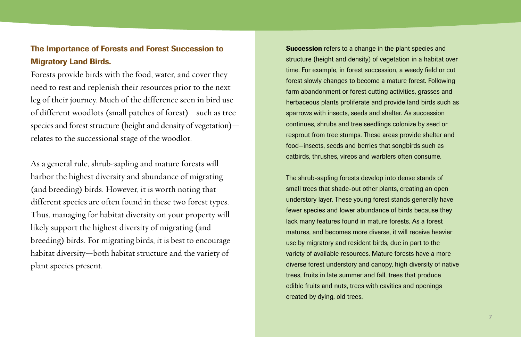## **The Importance of Forests and Forest Succession to Migratory Land Birds.**

Forests provide birds with the food, water, and cover they need to rest and replenish their resources prior to the next leg of their journey. Much of the difference seen in bird use of different woodlots (small patches of forest)—such as tree species and forest structure (height and density of vegetation) relates to the successional stage of the woodlot.

As a general rule, shrub-sapling and mature forests will harbor the highest diversity and abundance of migrating (and breeding) birds. However, it is worth noting that different species are often found in these two forest types. Thus, managing for habitat diversity on your property will likely support the highest diversity of migrating (and breeding) birds. For migrating birds, it is best to encourage habitat diversity—both habitat structure and the variety of plant species present.

**Succession** refers to a change in the plant species and structure (height and density) of vegetation in a habitat over time. For example, in forest succession, a weedy field or cut forest slowly changes to become a mature forest. Following farm abandonment or forest cutting activities, grasses and herbaceous plants proliferate and provide land birds such as sparrows with insects, seeds and shelter. As succession continues, shrubs and tree seedlings colonize by seed or resprout from tree stumps. These areas provide shelter and food—insects, seeds and berries that songbirds such as catbirds, thrushes, vireos and warblers often consume.

The shrub-sapling forests develop into dense stands of small trees that shade-out other plants, creating an open understory layer. These young forest stands generally have fewer species and lower abundance of birds because they lack many features found in mature forests. As a forest matures, and becomes more diverse, it will receive heavier use by migratory and resident birds, due in part to the variety of available resources. Mature forests have a more diverse forest understory and canopy, high diversity of native trees, fruits in late summer and fall, trees that produce edible fruits and nuts, trees with cavities and openings created by dying, old trees.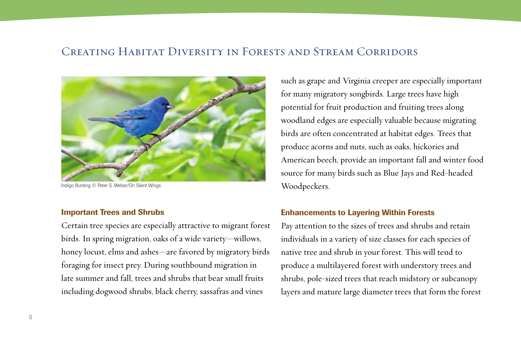## Creating Habitat Diversity in Forests and Stream Corridors



Indigo Bunting © Peter S. Weber/On Silent Wings

#### **Important Trees and Shrubs**

Certain tree species are especially attractive to migrant forest birds. In spring migration, oaks of a wide variety—willows, honey locust, elms and ashes—are favored by migratory birds foraging for insect prey. During southbound migration in late summer and fall, trees and shrubs that bear small fruits including dogwood shrubs, black cherry, sassafras and vines

such as grape and Virginia creeper are especially important for many migratory songbirds. Large trees have high potential for fruit production and fruiting trees along woodland edges are especially valuable because migrating birds are often concentrated at habitat edges. Trees that produce acorns and nuts, such as oaks, hickories and American beech, provide an important fall and winter food source for many birds such as Blue Jays and Red-headed Woodpeckers.

### **Enhancements to Layering Within Forests**

Pay attention to the sizes of trees and shrubs and retain individuals in a variety of size classes for each species of native tree and shrub in your forest. This will tend to produce a multilayered forest with understory trees and shrubs, pole-sized trees that reach midstory or subcanopy layers and mature large diameter trees that form the forest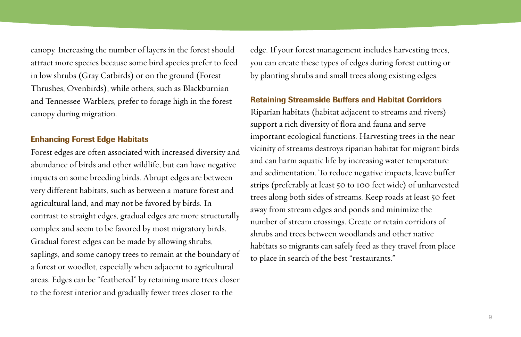canopy. Increasing the number of layers in the forest should attract more species because some bird species prefer to feed in low shrubs (Gray Catbirds) or on the ground (Forest Thrushes, Ovenbirds), while others, such as Blackburnian and Tennessee Warblers, prefer to forage high in the forest canopy during migration.

## **Enhancing Forest Edge Habitats**

Forest edges are often associated with increased diversity and abundance of birds and other wildlife, but can have negative impacts on some breeding birds. Abrupt edges are between very different habitats, such as between a mature forest and agricultural land, and may not be favored by birds. In contrast to straight edges, gradual edges are more structurally complex and seem to be favored by most migratory birds. Gradual forest edges can be made by allowing shrubs, saplings, and some canopy trees to remain at the boundary of a forest or woodlot, especially when adjacent to agricultural areas. Edges can be "feathered" by retaining more trees closer to the forest interior and gradually fewer trees closer to the

edge. If your forest management includes harvesting trees, you can create these types of edges during forest cutting or by planting shrubs and small trees along existing edges.

## **Retaining Streamside Buffers and Habitat Corridors**

Riparian habitats (habitat adjacent to streams and rivers) support a rich diversity of flora and fauna and serve important ecological functions. Harvesting trees in the near vicinity of streams destroys riparian habitat for migrant birds and can harm aquatic life by increasing water temperature and sedimentation. To reduce negative impacts, leave buffer strips (preferably at least 50 to 100 feet wide) of unharvested trees along both sides of streams. Keep roads at least 50 feet away from stream edges and ponds and minimize the number of stream crossings. Create or retain corridors of shrubs and trees between woodlands and other native habitats so migrants can safely feed as they travel from place to place in search of the best "restaurants."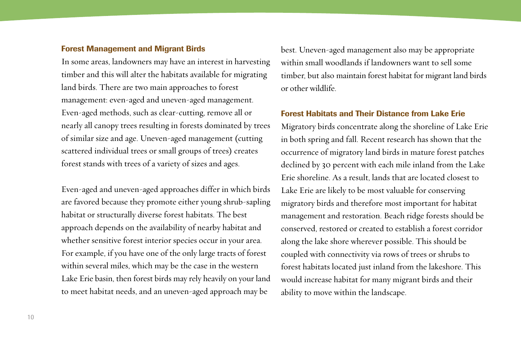#### **Forest Management and Migrant Birds**

In some areas, landowners may have an interest in harvesting timber and this will alter the habitats available for migrating land birds. There are two main approaches to forest management: even-aged and uneven-aged management. Even-aged methods, such as clear-cutting, remove all or nearly all canopy trees resulting in forests dominated by trees of similar size and age. Uneven-aged management (cutting scattered individual trees or small groups of trees) creates forest stands with trees of a variety of sizes and ages.

Even-aged and uneven-aged approaches differ in which birds are favored because they promote either young shrub-sapling habitat or structurally diverse forest habitats. The best approach depends on the availability of nearby habitat and whether sensitive forest interior species occur in your area. For example, if you have one of the only large tracts of forest within several miles, which may be the case in the western Lake Erie basin, then forest birds may rely heavily on your land to meet habitat needs, and an uneven-aged approach may be

best. Uneven-aged management also may be appropriate within small woodlands if landowners want to sell some timber, but also maintain forest habitat for migrant land birds or other wildlife.

## **Forest Habitats and Their Distance from Lake Erie**

Migratory birds concentrate along the shoreline of Lake Erie in both spring and fall. Recent research has shown that the occurrence of migratory land birds in mature forest patches declined by 30 percent with each mile inland from the Lake Erie shoreline. As a result, lands that are located closest to Lake Erie are likely to be most valuable for conserving migratory birds and therefore most important for habitat management and restoration. Beach ridge forests should be conserved, restored or created to establish a forest corridor along the lake shore wherever possible. This should be coupled with connectivity via rows of trees or shrubs to forest habitats located just inland from the lakeshore. This would increase habitat for many migrant birds and their ability to move within the landscape.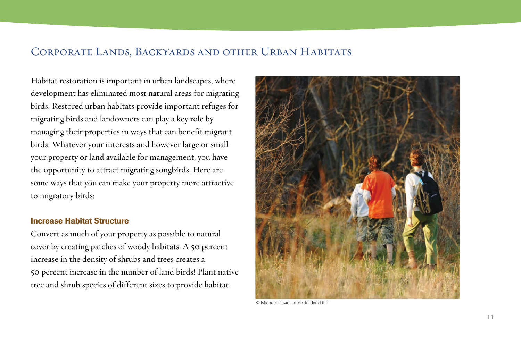## Corporate Lands, Backyards and other Urban Habitats

Habitat restoration is important in urban landscapes, where development has eliminated most natural areas for migrating birds. Restored urban habitats provide important refuges for migrating birds and landowners can play a key role by managing their properties in ways that can benefit migrant birds. Whatever your interests and however large or small your property or land available for management, you have the opportunity to attract migrating songbirds. Here are some ways that you can make your property more attractive to migratory birds:

#### **Increase Habitat Structure**

Convert as much of your property as possible to natural cover by creating patches of woody habitats. A 50 percent increase in the density of shrubs and trees creates a 50 percent increase in the number of land birds! Plant native tree and shrub species of different sizes to provide habitat



© Michael David-Lorne Jordan/DLP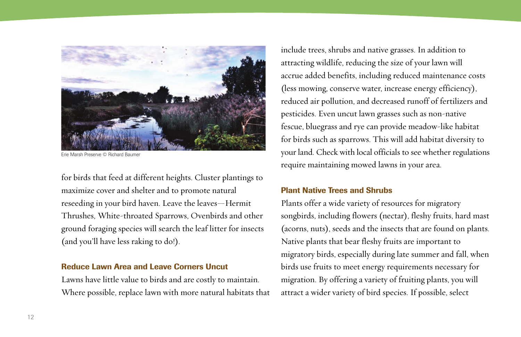

Erie Marsh Preserve © Richard Baumer

for birds that feed at different heights. Cluster plantings to maximize cover and shelter and to promote natural reseeding in your bird haven. Leave the leaves—Hermit Thrushes, White-throated Sparrows, Ovenbirds and other ground foraging species will search the leaf litter for insects (and you'll have less raking to do!).

### **Reduce Lawn Area and Leave Corners Uncut**

Lawns have little value to birds and are costly to maintain. Where possible, replace lawn with more natural habitats that

include trees, shrubs and native grasses. In addition to attracting wildlife, reducing the size of your lawn will accrue added benefits, including reduced maintenance costs (less mowing, conserve water, increase energy efficiency), reduced air pollution, and decreased runoff of fertilizers and pesticides. Even uncut lawn grasses such as non-native fescue, bluegrass and rye can provide meadow-like habitat for birds such as sparrows. This will add habitat diversity to your land. Check with local officials to see whether regulations require maintaining mowed lawns in your area.

## **Plant Native Trees and Shrubs**

Plants offer a wide variety of resources for migratory songbirds, including flowers (nectar), fleshy fruits, hard mast (acorns, nuts), seeds and the insects that are found on plants. Native plants that bear fleshy fruits are important to migratory birds, especially during late summer and fall, when birds use fruits to meet energy requirements necessary for migration. By offering a variety of fruiting plants, you will attract a wider variety of bird species. If possible, select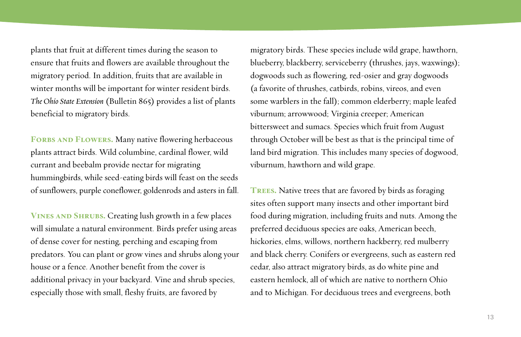plants that fruit at different times during the season to ensure that fruits and flowers are available throughout the migratory period. In addition, fruits that are available in winter months will be important for winter resident birds. *The Ohio State Extension* (Bulletin 865) provides a list of plants beneficial to migratory birds.

FORBS AND FLOWERS. Many native flowering herbaceous plants attract birds. Wild columbine, cardinal flower, wild currant and beebalm provide nectar for migrating hummingbirds, while seed-eating birds will feast on the seeds of sunflowers, purple coneflower, goldenrods and asters in fall.

**Vines and Shrubs.** Creating lush growth in a few places will simulate a natural environment. Birds prefer using areas of dense cover for nesting, perching and escaping from predators. You can plant or grow vines and shrubs along your house or a fence. Another benefit from the cover is additional privacy in your backyard. Vine and shrub species, especially those with small, fleshy fruits, are favored by

migratory birds. These species include wild grape, hawthorn, blueberry, blackberry, serviceberry (thrushes, jays, waxwings); dogwoods such as flowering, red-osier and gray dogwoods (a favorite of thrushes, catbirds, robins, vireos, and even some warblers in the fall); common elderberry; maple leafed viburnum; arrowwood; Virginia creeper; American bittersweet and sumacs. Species which fruit from August through October will be best as that is the principal time of land bird migration. This includes many species of dogwood, viburnum, hawthorn and wild grape.

**Trees.** Native trees that are favored by birds as foraging sites often support many insects and other important bird food during migration, including fruits and nuts. Among the preferred deciduous species are oaks, American beech, hickories, elms, willows, northern hackberry, red mulberry and black cherry. Conifers or evergreens, such as eastern red cedar, also attract migratory birds, as do white pine and eastern hemlock, all of which are native to northern Ohio and to Michigan. For deciduous trees and evergreens, both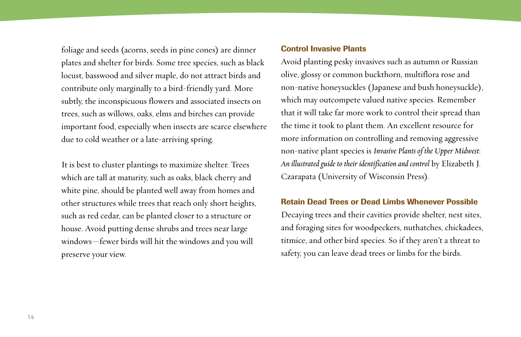foliage and seeds (acorns, seeds in pine cones) are dinner plates and shelter for birds. Some tree species, such as black locust, basswood and silver maple, do not attract birds and contribute only marginally to a bird-friendly yard. More subtly, the inconspicuous flowers and associated insects on trees, such as willows, oaks, elms and birches can provide important food, especially when insects are scarce elsewhere due to cold weather or a late-arriving spring.

It is best to cluster plantings to maximize shelter. Trees which are tall at maturity, such as oaks, black cherry and white pine, should be planted well away from homes and other structures while trees that reach only short heights, such as red cedar, can be planted closer to a structure or house. Avoid putting dense shrubs and trees near large windows—fewer birds will hit the windows and you will preserve your view.

#### **Control Invasive Plants**

Avoid planting pesky invasives such as autumn or Russian olive, glossy or common buckthorn, multiflora rose and non-native honeysuckles (Japanese and bush honeysuckle), which may outcompete valued native species. Remember that it will take far more work to control their spread than the time it took to plant them. An excellent resource for more information on controlling and removing aggressive non-native plant species is *Invasive Plants of the Upper Midwest*: *An illustrated guide to their identification and control* by Elizabeth J. Czarapata (University of Wisconsin Press).

## **Retain Dead Trees or Dead Limbs Whenever Possible**

Decaying trees and their cavities provide shelter, nest sites, and foraging sites for woodpeckers, nuthatches, chickadees, titmice, and other bird species. So if they aren't a threat to safety, you can leave dead trees or limbs for the birds.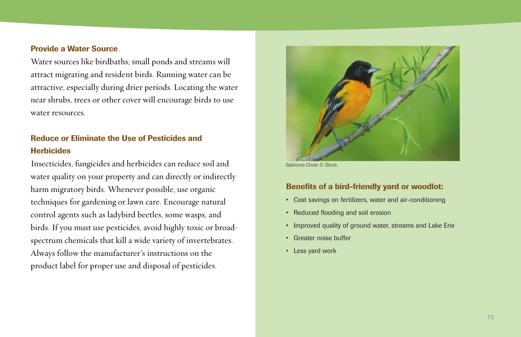#### **Provide a Water Source**

Water sources like birdbaths, small ponds and streams will attract migrating and resident birds. Running water can be attractive, especially during drier periods. Locating the water near shrubs, trees or other cover will encourage birds to use water resources.

## **Reduce or Eliminate the Use of Pesticides and Herbicides**

Insecticides, fungicides and herbicides can reduce soil and water quality on your property and can directly or indirectly harm migratory birds. Whenever possible, use organic techniques for gardening or lawn care. Encourage natural control agents such as ladybird beetles, some wasps, and birds. If you must use pesticides, avoid highly toxic or broadspectrum chemicals that kill a wide variety of invertebrates. Always follow the manufacturer's instructions on the product label for proper use and disposal of pesticides.



Baltimore Oriole © iStock

## **Benefits of a bird-friendly yard or woodlot:**

- Cost savings on fertilizers, water and air-conditioning
- Reduced flooding and soil erosion
- Improved quality of ground water, streams and Lake Erie
- Greater noise buffer
- Less yard work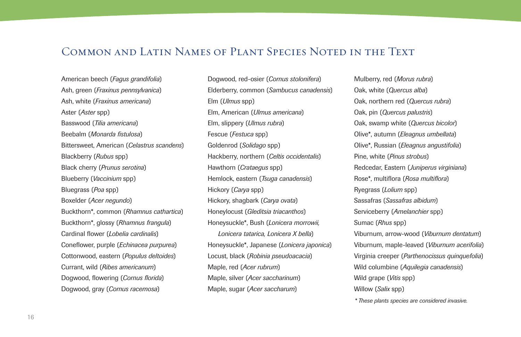## Common and Latin Names of Plant Species Noted in the Text

American beech (*Fagus grandifolia*) Ash, green (*Fraxinus pennsylvanica*) Ash, white (*Fraxinus americana*) Aster (*Aster* spp) Basswood (*Tilia americana*) Beebalm (*Monarda fistulosa*) Bittersweet, American (*Celastrus scandens*) Blackberry (*Rubus* spp) Black cherry (*Prunus serotina*) Blueberry (*Vaccinium* spp) Bluegrass (*Poa* spp) Boxelder (*Acer negundo*) Buckthorn\*, common (*Rhamnus cathartica*) Buckthorn\*, glossy (*Rhamnus frangula*) Cardinal flower (*Lobelia cardinalis*) Coneflower, purple (*Echinacea purpurea*) Cottonwood, eastern (*Populus deltoides*) Currant, wild (*Ribes americanum*) Dogwood, flowering (*Cornus florida*) Dogwood, gray (*Cornus racemosa*)

Dogwood, red-osier (*Cornus stolonifera*) Elderberry, common (*Sambucus canadensis*) Elm (*Ulmus* spp) Elm, American (*Ulmus americana*) Elm, slippery (*Ulmus rubra*) Fescue (*Festuca* spp) Goldenrod (*Solidago* spp) Hackberry, northern (*Celtis occidentalis*) Hawthorn (*Crataegus* spp) Hemlock, eastern (*Tsuga canadensis*) Hickory (*Carya* spp) Hickory, shagbark (*Carya ovata*) Honeylocust (*Gleditsia triacanthos*) Honeysuckle\*, Bush (*Lonicera morrowii, Lonicera tatarica, Lonicera X bella*) Honeysuckle\*, Japanese (*Lonicera japonica*) Locust, black (*Robinia pseudoacacia*) Maple, red (*Acer rubrum*) Maple, silver (*Acer saccharinum*) Maple, sugar (*Acer saccharum*)

Mulberry, red (*Morus rubra*) Oak, white (*Quercus alba*) Oak, northern red (*Quercus rubra*) Oak, pin (*Quercus palustris*) Oak, swamp white (*Quercus bicolor*) Olive\*, autumn (*Eleagnus umbellata*) Olive\*, Russian (*Eleagnus angustifolia*) Pine, white (*Pinus strobus*) Redcedar, Eastern (*Juniperus virginiana*) Rose\*, multiflora (*Rosa multiflora*) Ryegrass (*Lolium* spp) Sassafras (*Sassafras albidum*) Serviceberry (*Amelanchier* spp) Sumac (*Rhus* spp) Viburnum, arrow-wood (*Viburnum dentatum*) Viburnum, maple-leaved (*Viburnum acerifolia*) Virginia creeper (*Parthenocissus quinquefolia*) Wild columbine (*Aquilegia canadensis*) Wild grape (*Vitis* spp) Willow (*Salix* spp)

*\* These plants species are considered invasive.*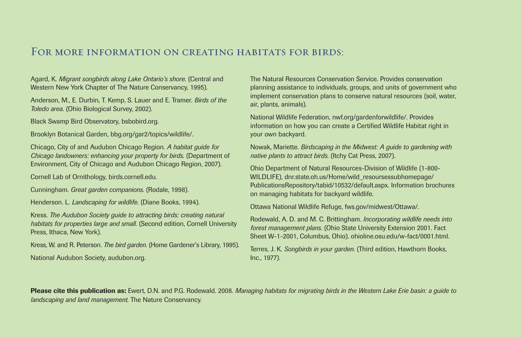## FOR MORE INFORMATION ON CREATING HABITATS FOR BIRDS:

Agard, K. *Migrant songbirds along Lake Ontario's shore*. (Central and Western New York Chapter of The Nature Conservancy, 1995).

Anderson, M., E. Durbin, T. Kemp, S. Lauer and E. Tramer. *Birds of the Toledo area*. (Ohio Biological Survey, 2002).

Black Swamp Bird Observatory, [bsbobird.org.](http://www.bsbobird.org)

Brooklyn Botanical Garden, [bbg.org/gar2/topics/wildlife/.](http://www.bbg.org/gar2/topics/wildlife/)

Chicago, City of and Audubon Chicago Region. *A habitat guide for Chicago landowners: enhancing your property for birds*. (Department of Environment, City of Chicago and Audubon Chicago Region, 2007).

Cornell Lab of Ornithology, [birds.cornell.edu.](http://www.birds.cornell.edu)

Cunningham. *Great garden companions*. (Rodale, 1998).

Henderson. L. *Landscaping for wildlife*. (Diane Books, 1994).

Kress. *The Audubon Society guide to attracting birds: creating natural habitats for properties large and small*. (Second edition, Cornell University Press, Ithaca, New York).

Kress, W. and R. Peterson. *The bird garden*. (Home Gardener's Library, 1995).

National Audubon Society, [audubon.org.](http://www.audubon.org)

The Natural Resources Conservation Service. Provides conservation planning assistance to individuals, groups, and units of government who implement conservation plans to conserve natural resources (soil, water, air, plants, animals).

National Wildlife Federation, [nwf.org/gardenforwildlife/.](http://www.nwf.org/gardenforwildlife/) Provides information on how you can create a Certified Wildlife Habitat right in your own backyard.

Nowak, Mariette. *Birdscaping in the Midwest: A guide to gardening with native plants to attract birds*. (Itchy Cat Press, 2007).

Ohio Department of Natural Resources-Division of Wildlife (1-800- WILDLIFE), [dnr.state.oh.us/Home/wild\\_resoursessubhomepage/](http://www.dnr.state.oh.us/Home/wild_resoursessubhomepage/ PublicationsRepository/tabid/10532/default.aspx) [PublicationsRepository/tabid/10532/default.aspx.](http://www.dnr.state.oh.us/Home/wild_resoursessubhomepage/ PublicationsRepository/tabid/10532/default.aspx) Information brochures on managing habitats for backyard wildlife.

Ottawa National Wildlife Refuge, [fws.gov/midwest/Ottawa/.](http://www.fws.gov/midwest/Ottawa/)

Rodewald, A. D. and M. C. Brittingham. *Incorporating wildlife needs into forest management plans*. (Ohio State University Extension 2001. Fact Sheet W-1-2001, Columbus, Ohio). [ohioline.osu.edu/w-fact/0001.html.](http://www.ohioline.osu.edu/w-fact/0001.html)

Terres, J. K. *Songbirds in your garden*. (Third edition, Hawthorn Books, Inc., 1977).

**Please cite this publication as:** Ewert, D.N. and P.G. Rodewald. 2008. *Managing habitats for migrating birds in the Western Lake Erie basin: a guide to landscaping and land management.* The Nature Conservancy.